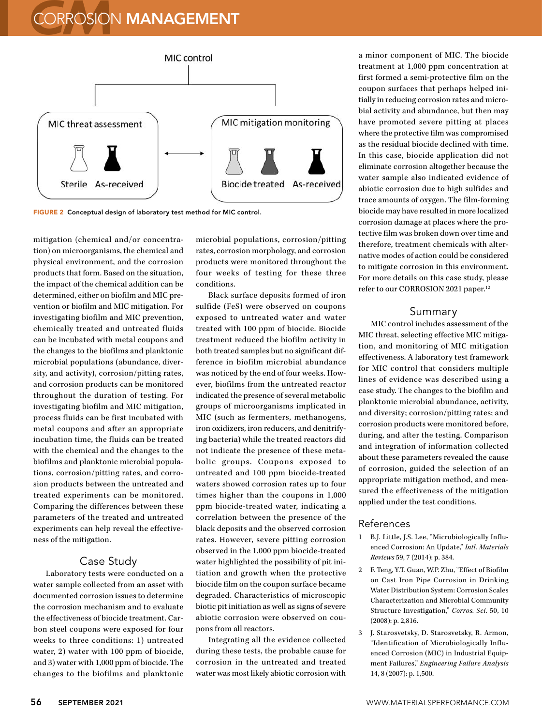## **CORROSION MANAGEMENT**



FIGURE 2 Conceptual design of laboratory test method for MIC control.

mitigation (chemical and/or concentration) on microorganisms, the chemical and physical environment, and the corrosion products that form. Based on the situation, the impact of the chemical addition can be determined, either on biofilm and MIC prevention or biofilm and MIC mitigation. For investigating biofilm and MIC prevention, chemically treated and untreated fluids can be incubated with metal coupons and the changes to the biofilms and planktonic microbial populations (abundance, diversity, and activity), corrosion/pitting rates, and corrosion products can be monitored throughout the duration of testing. For investigating biofilm and MIC mitigation, process fluids can be first incubated with metal coupons and after an appropriate incubation time, the fluids can be treated with the chemical and the changes to the biofilms and planktonic microbial populations, corrosion/pitting rates, and corrosion products between the untreated and treated experiments can be monitored. Comparing the differences between these parameters of the treated and untreated experiments can help reveal the effectiveness of the mitigation.

### Case Study

Laboratory tests were conducted on a water sample collected from an asset with documented corrosion issues to determine the corrosion mechanism and to evaluate the effectiveness of biocide treatment. Carbon steel coupons were exposed for four weeks to three conditions: 1) untreated water, 2) water with 100 ppm of biocide, and 3) water with 1,000 ppm of biocide. The changes to the biofilms and planktonic microbial populations, corrosion/pitting rates, corrosion morphology, and corrosion products were monitored throughout the four weeks of testing for these three conditions.

Black surface deposits formed of iron sulfide (FeS) were observed on coupons exposed to untreated water and water treated with 100 ppm of biocide. Biocide treatment reduced the biofilm activity in both treated samples but no significant difference in biofilm microbial abundance was noticed by the end of four weeks. However, biofilms from the untreated reactor indicated the presence of several metabolic groups of microorganisms implicated in MIC (such as fermenters, methanogens, iron oxidizers, iron reducers, and denitrifying bacteria) while the treated reactors did not indicate the presence of these metabolic groups. Coupons exposed to untreated and 100 ppm biocide-treated waters showed corrosion rates up to four times higher than the coupons in 1,000 ppm biocide-treated water, indicating a correlation between the presence of the black deposits and the observed corrosion rates. However, severe pitting corrosion observed in the 1,000 ppm biocide-treated water highlighted the possibility of pit initiation and growth when the protective biocide film on the coupon surface became degraded. Characteristics of microscopic biotic pit initiation as well as signs of severe abiotic corrosion were observed on coupons from all reactors.

Integrating all the evidence collected during these tests, the probable cause for corrosion in the untreated and treated water was most likely abiotic corrosion with a minor component of MIC. The biocide treatment at 1,000 ppm concentration at first formed a semi-protective film on the coupon surfaces that perhaps helped initially in reducing corrosion rates and microbial activity and abundance, but then may have promoted severe pitting at places where the protective film was compromised as the residual biocide declined with time. In this case, biocide application did not eliminate corrosion altogether because the water sample also indicated evidence of abiotic corrosion due to high sulfides and trace amounts of oxygen. The film-forming biocide may have resulted in more localized corrosion damage at places where the protective film was broken down over time and therefore, treatment chemicals with alternative modes of action could be considered to mitigate corrosion in this environment. For more details on this case study, please refer to our CORROSION 2021 paper.12

#### Summary

MIC control includes assessment of the MIC threat, selecting effective MIC mitigation, and monitoring of MIC mitigation effectiveness. A laboratory test framework for MIC control that considers multiple lines of evidence was described using a case study. The changes to the biofilm and planktonic microbial abundance, activity, and diversity; corrosion/pitting rates; and corrosion products were monitored before, during, and after the testing. Comparison and integration of information collected about these parameters revealed the cause of corrosion, guided the selection of an appropriate mitigation method, and measured the effectiveness of the mitigation applied under the test conditions.

#### References

- 1 B.J. Little, J.S. Lee, "Microbiologically Influenced Corrosion: An Update," *Intl. Materials Reviews* 59, 7 (2014): p. 384.
- 2 F. Teng, Y.T. Guan, W.P. Zhu, "Effect of Biofilm on Cast Iron Pipe Corrosion in Drinking Water Distribution System: Corrosion Scales Characterization and Microbial Community Structure Investigation," *Corros. Sci.* 50, 10 (2008): p. 2,816.
- 3 J. Starosvetsky, D. Starosvetsky, R. Armon, "Identification of Microbiologically Influenced Corrosion (MIC) in Industrial Equipment Failures," *Engineering Failure Analysis* 14, 8 (2007): p. 1,500.